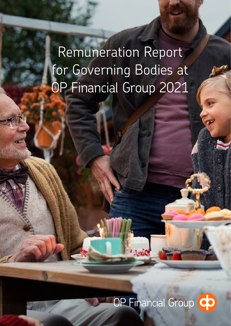Remuneration Report for Governing Bodies at OP Financial Group 2021

# OP Financial Group CO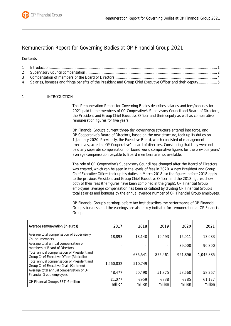

# Remuneration Report for Governing Bodies at OP Financial Group 2021

## **Contents**

| 4 Salaries, bonuses and fringe benefits of the President and Group Chief Executive Officer and their deputy5 |  |
|--------------------------------------------------------------------------------------------------------------|--|

#### <span id="page-1-0"></span>1 INTRODUCTION

This Remuneration Report for Governing Bodies describes salaries and fees/bonuses for 2021 paid to the members of OP Cooperative's Supervisory Council and Board of Directors, the President and Group Chief Executive Officer and their deputy as well as comparative remuneration figures for five years.

OP Financial Group's current three-tier governance structure entered into force, and OP Cooperative's Board of Directors, based on the new structure, took up its duties on 1 January 2020. Previously, the Executive Board, which consisted of management executives, acted as OP Cooperative's board of directors. Considering that they were not paid any separate compensation for board work, comparative figures for the previous years' average compensation payable to Board members are not available.

The role of OP Cooperative's Supervisory Council has changed after the Board of Directors was created, which can be seen in the levels of fees in 2020. A new President and Group Chief Executive Officer took up his duties in March 2018, so the figures before 2018 apply to the previous President and Group Chief Executive Officer, and the 2018 figures show both of their fees (the figures have been combined in the graph). OP Financial Group employees' average compensation has been calculated by dividing OP Financial Group's total salaries and bonuses by the annual average number of OP Financial Group employees.

OP Financial Group's earnings before tax best describes the performance of OP Financial Group's business and the earnings are also a key indicator for remuneration at OP Financial Group.

| Average remuneration (in euros)                                                          | 2017              | 2018            | 2019            | 2020            | 2021              |
|------------------------------------------------------------------------------------------|-------------------|-----------------|-----------------|-----------------|-------------------|
| Average total compensation of Supervisory<br>Council members                             | 18,893            | 18,140          | 19,493          | 15,011          | 13,083            |
| Average total annual compensation of<br>members of Board of Directors                    |                   |                 |                 | 89,000          | 90,800            |
| Total annual compensation of President and<br>Group Chief Executive Officer (Ritakallio) |                   | 635,541         | 855,461         | 921,896         | 1,045,885         |
| Total annual compensation of President and<br>Group Chief Executive Chair (Karhinen)     | 1,560,832         | 510,749         |                 |                 |                   |
| Average total annual compensation of OP<br>Financial Group employees                     | 48,477            | 50,490          | 51,875          | 53,660          | 58,267            |
| OP Financial Group's EBT, € million                                                      | €1,077<br>million | €959<br>million | €838<br>million | €785<br>million | €1,127<br>million |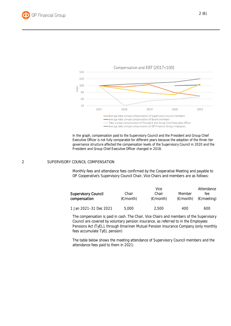



In the graph, compensation paid to the Supervisory Council and the President and Group Chief Executive Officer is not fully comparable for different years because the adoption of the three-tier governance structure affected the compensation levels of the Supervisory Council in 2020 and the President and Group Chief Executive Officer changed in 2018.

#### <span id="page-2-0"></span>2 SUPERVISORY COUNCIL COMPENSATION

Monthly fees and attendance fees confirmed by the Cooperative Meeting and payable to OP Cooperative's Supervisory Council Chair, Vice Chairs and members are as follows:

|                                            |                    |                              | Attendance                    |                              |  |
|--------------------------------------------|--------------------|------------------------------|-------------------------------|------------------------------|--|
| <b>Supervisory Council</b><br>compensation | Chair<br>(€/month) | Chair<br>$(\epsilon$ /month) | Member<br>$(\epsilon$ /month) | fee<br>$(\epsilon/m$ eeting) |  |
| 1 Jan 2021-31 Dec 2021                     | 5,000              | 2.500                        | 400                           | 600                          |  |

The compensation is paid in cash. The Chair, Vice Chairs and members of the Supervisory Council are covered by voluntary pension insurance, as referred to in the Employees Pensions Act (TyEL), through Ilmarinen Mutual Pension Insurance Company (only monthly fees accumulate TyEL pension)

The table below shows the meeting attendance of Supervisory Council members and the attendance fees paid to them in 2021: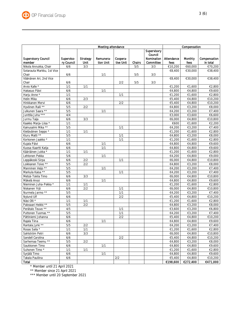|                                      | Meeting attendance       |                         |                        |                       |        | Compensation            |                     |                 |                          |
|--------------------------------------|--------------------------|-------------------------|------------------------|-----------------------|--------|-------------------------|---------------------|-----------------|--------------------------|
|                                      |                          |                         |                        |                       |        | Supervisory<br>Council  |                     |                 |                          |
| <b>Supervisory Council</b><br>member | Superviso-<br>ry Council | <b>Strategy</b><br>Unit | Remunera-<br>tion Unit | Coopera-<br>tive Unit | Chairs | Nomination<br>Committee | Attendance<br>fees  | Monthly<br>fees | Compensation<br>in total |
| Nikola Annukka, Chair                | 6/6                      | 3/3                     |                        |                       | 5/5    | 3/3                     | €10,200             | €60,000         | €70,200                  |
| Sotarauta Markku, 1st Vice           |                          |                         |                        |                       |        |                         | €8,400              | €30,000         | €38,400                  |
| Chair                                | 6/6                      |                         | 1/1                    |                       | 5/5    | 3/3                     |                     |                 |                          |
| Väänänen Ari, 2nd Vice               |                          |                         |                        |                       |        |                         | $\overline{€8,}400$ | €30,000         | €38,400                  |
| Chair                                | 6/6                      |                         |                        | 2/2                   | 5/5    | 3/3                     |                     |                 |                          |
| Arvio Kalle *                        | $\overline{1/1}$         | 1/1                     |                        |                       |        |                         | €1,200              | €1,600          | €2,800                   |
| Hakasuo Päivi                        | 6/6                      |                         | 1/1                    |                       |        |                         | €4,800              | €4,800          | €9,600                   |
| Harju Anne *                         | 1/1                      |                         |                        | 1/1                   |        |                         | €1,200              | €1,600          | €2,800                   |
| Helin Mika                           | 6/6                      | $\overline{2}/3$        |                        |                       |        |                         | €5,400              | €4,800          | €10,200                  |
| Hinkkanen Mervi                      | 6/6                      |                         |                        | 2/2                   |        |                         | €5,400              | €4,800          | €10,200                  |
| Hyvönen Raili **                     | 5/5                      | 2/2                     |                        |                       |        |                         | €4,800              | €3,200          | €8,000                   |
| Julkunen Saara **                    | 5/5                      |                         | 1/1                    |                       |        |                         | €4,200              | €3,200          | €7,400                   |
| Junttila Juha ***                    | 4/4                      |                         |                        |                       |        |                         | €3,000              | €3,600          | €6,600                   |
| Jurmu Taija                          | 6/6                      | 3/3                     |                        |                       |        |                         | €6,000              | €4,800          | €10,800                  |
| Kaakko Marja-Liisa *                 | 1/1                      |                         |                        |                       |        |                         | €600                | €1,600          | €2,200                   |
| Kainusalmi Mika **                   | 5/5                      |                         |                        | 1/1                   |        |                         | €4,200              | €3,200          | €7,400                   |
| Kietäväinen Seppo *                  | 1/1                      | 1/1                     |                        |                       |        |                         | €1,200              | €1,600          | €2,800                   |
| Kiuru Matti **                       | 5/5                      |                         |                        | 1/1                   |        |                         | €4,800              | €3,200          | €8,000                   |
| Korkonen Jaakko *                    | 1/1                      |                         |                        | 1/1                   |        |                         | €1,200              | €1,600          | €2,800                   |
| Kujala Päivi                         | 6/6                      |                         | 1/1                    |                       |        |                         | €4,800              | €4,800          | €9,600                   |
| Kuosa-Kaartti Katja                  | 6/6                      |                         | 1/1                    |                       |        |                         | €4,800              | €4,800          | €9,600                   |
| Kääriäinen Jukka *                   | 1/1                      | 1/1                     |                        |                       |        |                         | €1,200              | €1,600          | €2,800                   |
| Lehtonen Pekka                       | 5/6                      |                         | 1/1                    |                       |        |                         | €4,200              | €4,800          | €9,000                   |
| Leppäkoski Sirpa                     | 6/6                      | 2/2                     |                        | 1/1                   |        |                         | €6,000              | €4,800          | €10,800                  |
| Loikkanen Toivo **                   | 5/5                      | 2/2                     |                        |                       |        |                         | €4,800              | €3,200          | €8,000                   |
| Manninen Veijo **                    | 5/5                      |                         | 1/1                    |                       |        |                         | €4,200              | €3,200          | €7,400                   |
| Markula Kaisa **                     | 5/5                      |                         |                        | 1/1                   |        |                         | €4,200              | €3,200          | €7,400                   |
| Metsä-Tokila Timo                    | 6/6                      | 3/3                     |                        |                       |        |                         | €6,000              | €4,800          | €10,800                  |
| Mäkelä Anssi                         | 6/6                      |                         | 1/1                    |                       |        |                         | €4,800              | €4,800          | €9,600                   |
| Nieminen Juha-Pekka *                | 1/1                      | 1/1                     |                        |                       |        |                         | €1,200              | €1,600          | €2,800                   |
| Niskanen Yrjö                        | 6/6                      | 2/2                     |                        | 1/1                   |        |                         | €6,000              | €4,800          | €10,800                  |
| Nurmela Jarmo **                     | 5/5                      |                         |                        | $\overline{1/1}$      |        |                         | €4,200              | €3,200          | €7,400                   |
| Nylund Ulf                           | 6/6                      |                         |                        | 2/2                   |        |                         | €5,400              | €4,800          | €10,200                  |
| Näsi Olli *                          | $\overline{1/1}$         | 1/1                     |                        |                       |        |                         | €1,200              | €1,600          | €2,800                   |
| Palosaari Heikki **                  | 5/5                      | 2/2                     |                        |                       |        |                         | €4,800              | €3,200          | €8,000                   |
| Perätalo Teuvo **                    | 4/5                      |                         |                        | 1/1                   |        |                         | €3,600              | €3,200          | €6,800                   |
| Puttonen Tuomas **                   | 5/5                      |                         |                        | 1/1                   |        |                         | €4,200              | €3,200          | €7,400                   |
| Pättiniemi Johanna                   | 6/6                      |                         |                        | 2/2                   |        |                         | €5,400              | €4,800          | €10,200                  |
| Rajala Tiina                         | 6/6                      |                         | 1/1                    |                       |        |                         | €4,800              | €4,800          | €9,600                   |
| Rantala Jyrki **                     | 5/5                      | 2/2                     |                        |                       |        |                         | €4,200              | €3,200          | €7,400                   |
| Rosas Saila *                        | 1/1                      | 1/1                     |                        |                       |        |                         | €1,200              | €1,600          | €2,800                   |
| Sahlström Petri                      | 6/6                      | 3/3                     |                        |                       |        |                         | €6,000              | €4,800          | €10,800                  |
| Sandell Carolina                     | 6/6                      |                         |                        | 2/2                   |        |                         | €5,400              | €4,800          | €10,200                  |
| Sarhemaa Teemu **                    | 5/5                      | 2/2                     |                        |                       |        |                         | €4,800              | €3,200          | €8,000                   |
| Saukkonen Timo                       | 6/6                      |                         | 1/1                    |                       |        |                         | €4,800              | €4,800          | €9,600                   |
| Suhonen Timo *                       | 1/1                      | 1/1                     |                        |                       |        |                         | €1,200              | €1,600          | €2,800                   |
| Syrjälä Timo                         | 6/6                      |                         | 1/1                    |                       |        |                         | €4,800              | €4,800          | €9,600                   |
| Takala Pauliina                      | 6/6                      |                         |                        | $2/2$                 |        |                         | €5,400              | €4,800          | €10,200                  |
| <b>Total</b>                         |                          |                         |                        |                       |        |                         | €198,600            | €272,400        | €471,000                 |

\* Member until 21 April 2021

\*\* Member since 21 April 2021

\*\*\* Member until 20 September 2021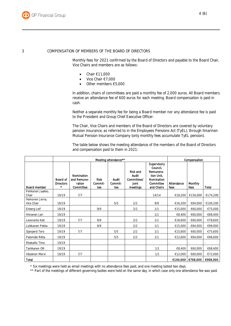

#### <span id="page-4-0"></span>3 COMPENSATION OF MEMBERS OF THE BOARD OF DIRECTORS

Monthly fees for 2021 confirmed by the Board of Directors and payable to the Board Chair, Vice Chairs and members are as follows:

- $\bullet$  Chair  $\epsilon$ 11,000
- Vice Chair €7,000
- Other members €5,000

In addition, chairs of committees are paid a monthly fee of 2,000 euros. All Board members receive an attendance fee of 600 euros for each meeting. Board compensation is paid in cash.

Neither a separate monthly fee for being a Board member nor any attendance fee is paid to the President and Group Chief Executive Officer.

The Chair, Vice Chairs and members of the Board of Directors are covered by voluntary pension insurance, as referred to in the Employees Pensions Act (TyEL), through Ilmarinen Mutual Pension Insurance Company (only monthly fees accumulate TyEL pension).

The table below shows the meeting attendance of the members of the Board of Directors and compensation paid to them in 2021:

|                               | Meeting attendance**                         |                                                  |                               |                         |                                                              |                                                                                             |                    | Compensation    |              |  |
|-------------------------------|----------------------------------------------|--------------------------------------------------|-------------------------------|-------------------------|--------------------------------------------------------------|---------------------------------------------------------------------------------------------|--------------------|-----------------|--------------|--|
| Board member                  | Board of<br><b>Directors</b><br>$\mathbf{r}$ | Nomination<br>and Remune-<br>ration<br>Committee | <b>Risk</b><br>Commit-<br>tee | Audit<br>Commit-<br>tee | <b>Risk and</b><br>Audit<br>Committees'<br>joint<br>meetings | Supervisory<br>Council,<br>Remunera-<br>tion Unit.<br>Nomination<br>Committee<br>and Chairs | Attendance<br>fees | Monthly<br>fees | <b>Total</b> |  |
| Pehkonen Jaakko.<br>Chair     | 19/19                                        | 7/7                                              |                               |                         |                                                              | 14/14                                                                                       | €18,200            | €156,000        | €174,200     |  |
| Heinonen Jarna,<br>Vice Chair | 19/19                                        |                                                  |                               | 5/5                     | 2/2                                                          | 9/9                                                                                         | €16,200            | €84,000         | €100,200     |  |
| Enberg Leif                   | 19/19                                        |                                                  | 9/9                           |                         | 2/2                                                          | 1/1                                                                                         | €15,000            | €60,000         | €75,000      |  |
| Himanen Jari                  | 19/19                                        |                                                  |                               |                         |                                                              | 1/1                                                                                         | €8,400             | €60,000         | €68,400      |  |
| Levoranta Kati                | 19/19                                        | 7/7                                              | 9/9                           |                         | 2/2                                                          | 1/1                                                                                         | €18,600            | €60,000         | €78,600      |  |
| Loikkanen Pekka               | 19/19                                        |                                                  | 9/9                           |                         | 2/2                                                          | 1/1                                                                                         | €15,000            | €84,000         | €99,000      |  |
| Ojanperä Tero                 | 19/19                                        | 7/7                                              |                               | 5/5                     | 2/2                                                          | 1/1                                                                                         | €15,600            | €60,000         | €75,600      |  |
| Palomäki Riitta               | 19/19                                        |                                                  |                               | 5/5                     | 2/2                                                          | 1/1                                                                                         | €12,600            | €84,000         | €96,600      |  |
| Ritakallio Timo               | 19/19                                        |                                                  |                               |                         |                                                              |                                                                                             |                    |                 |              |  |
| Tarkkanen Olli                | 19/19                                        |                                                  |                               |                         |                                                              | 1/1                                                                                         | €8,400             | €60,000         | €68,400      |  |
| Väisänen Mervi                | 19/19                                        | 7/7                                              |                               |                         |                                                              | 1/1                                                                                         | €12,000            | €60,000         | €72,000      |  |
| <b>Total</b>                  |                                              |                                                  |                               |                         |                                                              |                                                                                             | €140,000           | €768,000        | €908,000     |  |

\* Six meetings were held as email meetings with no attendance fees paid, and one meeting lasted two days.

\*\* Part of the meetings of different governing bodies were held on the same day, in which case only one attendance fee was paid.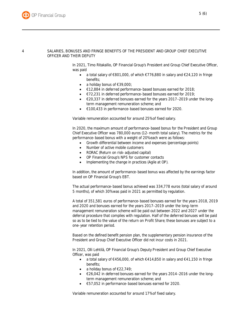### <span id="page-5-0"></span>4 SALARIES, BONUSES AND FRINGE BENEFITS OF THE PRESIDENT AND GROUP CHIEF EXECUTIVE OFFICER AND THEIR DEPUTY

In 2021, Timo Ritakallio, OP Financial Group's President and Group Chief Executive Officer, was paid

- a total salary of €801,000, of which €776,880 in salary and €24,120 in fringe benefits;
- a holiday bonus of €39,000;
- €12,884 in deferred performance-based bonuses earned for 2018;
- €72,231 in deferred performance-based bonuses earned for 2019;
- €20,337 in deferred bonuses earned for the years 2017−2019 under the longterm management remuneration scheme; and
- €100,433 in performance-based bonuses earned for 2020.

Variable remuneration accounted for around 25% of fixed salary.

In 2020, the maximum amount of performance-based bonus for the President and Group Chief Executive Officer was 780,000 euros (12-month total salary). The metrics for the performance-based bonus with a weight of 20% each were as follows:

- Growth differential between income and expenses (percentage points)
- Number of active mobile customers
- RORAC (Return on risk-adjusted capital)
- OP Financial Group's NPS for customer contacts
- Implementing the change in practices (Agile at OP).

In addition, the amount of performance-based bonus was affected by the earnings factor based on OP Financial Group's EBT.

The actual performance-based bonus achieved was 334,778 euros (total salary of around 5 months), of which 30% was paid in 2021 as permitted by regulation.

A total of 351,581 euros of performance-based bonuses earned for the years 2018, 2019 and 2020 and bonuses earned for the years 2017–2019 under the long-term management remuneration scheme will be paid out between 2022 and 2027 under the deferral procedure that complies with regulation. Half of the deferred bonuses will be paid so as to be tied to the value of the return on Profit Share; these bonuses are subject to a one-year retention period.

Based on the defined benefit pension plan, the supplementary pension insurance of the President and Group Chief Executive Officer did not incur costs in 2021.

In 2021, Olli Lehtilä, OP Financial Group's Deputy President and Group Chief Executive Officer, was paid

- a total salary of €456,000, of which €414,850 in salary and €41,150 in fringe benefits;
- a holiday bonus of  $E22,749$ ;
- €26,042 in deferred bonuses earned for the years 2014−2016 under the longterm management remuneration scheme; and
- €57,052 in performance-based bonuses earned for 2020.

Variable remuneration accounted for around 17% of fixed salary.